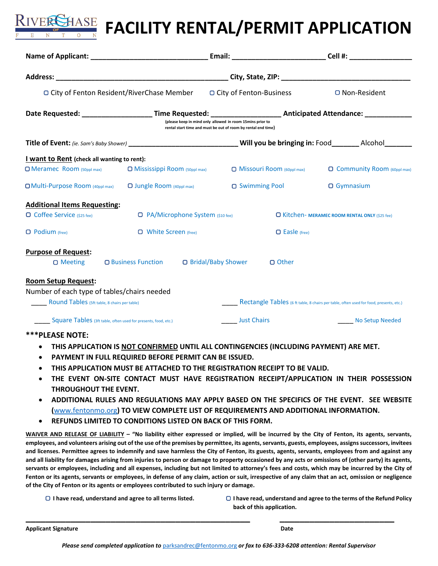

| $\Box$ City of Fenton Resident/RiverChase Member                                                                               |                                                                                                                                                                                                                                                           | $\Box$ City of Fenton-Business |                                                       | $\Box$ Non-Resident                                                                    |  |
|--------------------------------------------------------------------------------------------------------------------------------|-----------------------------------------------------------------------------------------------------------------------------------------------------------------------------------------------------------------------------------------------------------|--------------------------------|-------------------------------------------------------|----------------------------------------------------------------------------------------|--|
|                                                                                                                                | Date Requested: _________________________Time Requested: ________________________ Anticipated Attendance: _________________<br>(please keep in mind only allowed in room 15mins prior to<br>rental start time and must be out of room by rental end time) |                                |                                                       |                                                                                        |  |
| Title of Event: (ie. Sam's Baby Shower) ___________________________________Will you be bringing in: Food________ Alcohol______ |                                                                                                                                                                                                                                                           |                                |                                                       |                                                                                        |  |
| I want to Rent (check all wanting to rent):                                                                                    |                                                                                                                                                                                                                                                           |                                |                                                       |                                                                                        |  |
| $\Box$ Meramec Room (50ppl max)                                                                                                | $\Box$ Mississippi Room (50ppl max)                                                                                                                                                                                                                       | □ Missouri Room (60ppl max)    |                                                       | <b>O</b> Community Room (60ppl max)                                                    |  |
| $\Box$ Multi-Purpose Room (40ppl max)                                                                                          | $\Box$ Jungle Room (40ppl max)                                                                                                                                                                                                                            | □ Swimming Pool                |                                                       | $\Box$ Gymnasium                                                                       |  |
| <b>Additional Items Requesting:</b>                                                                                            |                                                                                                                                                                                                                                                           |                                |                                                       |                                                                                        |  |
| $\Box$ Coffee Service (\$25 fee)                                                                                               | <b>D</b> PA/Microphone System (\$10 fee)                                                                                                                                                                                                                  |                                | <b>O Kitchen- MERAMEC ROOM RENTAL ONLY (\$25 fee)</b> |                                                                                        |  |
| $\Box$ Podium (free)                                                                                                           | $\Box$ White Screen (free)                                                                                                                                                                                                                                |                                | $\Box$ Easle (free)                                   |                                                                                        |  |
| <b>Purpose of Request:</b>                                                                                                     |                                                                                                                                                                                                                                                           |                                |                                                       |                                                                                        |  |
| $\Box$ Meeting                                                                                                                 | □ Business Function □ Bridal/Baby Shower                                                                                                                                                                                                                  |                                | □ Other                                               |                                                                                        |  |
| <b>Room Setup Request:</b>                                                                                                     |                                                                                                                                                                                                                                                           |                                |                                                       |                                                                                        |  |
| Number of each type of tables/chairs needed                                                                                    |                                                                                                                                                                                                                                                           |                                |                                                       |                                                                                        |  |
| Round Tables (5ft table, 8 chairs per table)                                                                                   |                                                                                                                                                                                                                                                           |                                |                                                       | Rectangle Tables (6 ft table, 8 chairs per table, often used for food, presents, etc.) |  |
| <b>Square Tables</b> (3ft table, often used for presents, food, etc.)                                                          |                                                                                                                                                                                                                                                           | <b>Just Chairs</b>             |                                                       | <b>No Setup Needed</b>                                                                 |  |

#### **\*\*\*PLEASE NOTE:**

- **THIS APPLICATION IS NOT CONFIRMED UNTIL ALL CONTINGENCIES (INCLUDING PAYMENT) ARE MET.**
- **PAYMENT IN FULL REQUIRED BEFORE PERMIT CAN BE ISSUED.**
- **THIS APPLICATION MUST BE ATTACHED TO THE REGISTRATION RECEIPT TO BE VALID.**
- **THE EVENT ON-SITE CONTACT MUST HAVE REGISTRATION RECEIPT/APPLICATION IN THEIR POSSESSION THROUGHOUT THE EVENT.**
- **ADDITIONAL RULES AND REGULATIONS MAY APPLY BASED ON THE SPECIFICS OF THE EVENT. SEE WEBSITE (**[www.fentonmo.org](http://www.fentonmo.org/)**) TO VIEW COMPLETE LIST OF REQUIREMENTS AND ADDITIONAL INFORMATION.**
- **REFUNDS LIMITED TO CONDITIONS LISTED ON BACK OF THIS FORM.**

**WAIVER AND RELEASE OF LIABILITY – "No liability either expressed or implied, will be incurred by the City of Fenton, its agents, servants, employees, and volunteers arising out of the use of the premises by permittee, its agents, servants, guests, employees, assigns successors, invitees and licenses. Permittee agrees to indemnify and save harmless the City of Fenton, its guests, agents, servants, employees from and against any and all liability for damages arising from injuries to person or damage to property occasioned by any acts or omissions of (other party) its agents, servants or employees, including and all expenses, including but not limited to attorney's fees and costs, which may be incurred by the City of Fenton or its agents, servants or employees, in defense of any claim, action or suit, irrespective of any claim that an act, omission or negligence of the City of Fenton or its agents or employees contributed to such injury or damage.**

- 
- **I have read, understand and agree to all terms listed. I have read, understand and agree to the terms of the Refund Policy back of this application.**

**Applicant Signature Date** 

**\_\_\_\_\_\_\_\_\_\_\_\_\_\_\_\_\_\_\_\_\_\_\_\_\_\_\_\_\_\_\_\_\_\_\_\_\_\_\_\_\_\_\_\_\_ \_\_\_\_\_\_\_\_\_\_\_\_\_\_\_\_\_\_\_\_\_\_\_**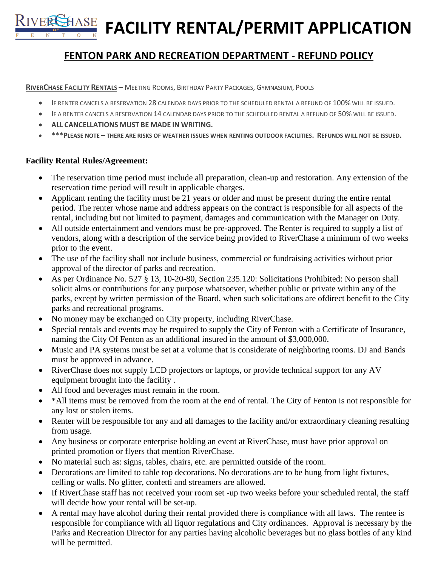**RIVER SHASE FACILITY RENTAL/PERMIT APPLICATION** 

# **FENTON PARK AND RECREATION DEPARTMENT - REFUND POLICY**

### **RIVERCHASE FACILITY RENTALS –** MEETING ROOMS, BIRTHDAY PARTY PACKAGES, GYMNASIUM, POOLS

- IF RENTER CANCELS A RESERVATION 28 CALENDAR DAYS PRIOR TO THE SCHEDULED RENTAL A REFUND OF 100% WILL BE ISSUED.
- IF A RENTER CANCELS A RESERVATION 14 CALENDAR DAYS PRIOR TO THE SCHEDULED RENTAL A REFUND OF 50% WILL BE ISSUED.
- **ALL CANCELLATIONS MUST BE MADE IN WRITING.**
- **\*\*\*PLEASE NOTE – THERE ARE RISKS OF WEATHER ISSUES WHEN RENTING OUTDOOR FACILITIES. REFUNDS WILL NOT BE ISSUED.**

# **Facility Rental Rules/Agreement:**

- The reservation time period must include all preparation, clean-up and restoration. Any extension of the reservation time period will result in applicable charges.
- Applicant renting the facility must be 21 years or older and must be present during the entire rental period. The renter whose name and address appears on the contract is responsible for all aspects of the rental, including but not limited to payment, damages and communication with the Manager on Duty.
- All outside entertainment and vendors must be pre-approved. The Renter is required to supply a list of vendors, along with a description of the service being provided to RiverChase a minimum of two weeks prior to the event.
- The use of the facility shall not include business, commercial or fundraising activities without prior approval of the director of parks and recreation.
- As per Ordinance No. 527 § 13, 10-20-80, Section 235.120: Solicitations Prohibited: No person shall solicit alms or contributions for any purpose whatsoever, whether public or private within any of the parks, except by written permission of the Board, when such solicitations are ofdirect benefit to the City parks and recreational programs.
- No money may be exchanged on City property, including RiverChase.
- Special rentals and events may be required to supply the City of Fenton with a Certificate of Insurance, naming the City Of Fenton as an additional insured in the amount of \$3,000,000.
- Music and PA systems must be set at a volume that is considerate of neighboring rooms. DJ and Bands must be approved in advance.
- RiverChase does not supply LCD projectors or laptops, or provide technical support for any AV equipment brought into the facility .
- All food and beverages must remain in the room.
- \*All items must be removed from the room at the end of rental. The City of Fenton is not responsible for any lost or stolen items.
- Renter will be responsible for any and all damages to the facility and/or extraordinary cleaning resulting from usage.
- Any business or corporate enterprise holding an event at RiverChase, must have prior approval on printed promotion or flyers that mention RiverChase.
- No material such as: signs, tables, chairs, etc. are permitted outside of the room.
- Decorations are limited to table top decorations. No decorations are to be hung from light fixtures, celling or walls. No glitter, confetti and streamers are allowed.
- If RiverChase staff has not received your room set -up two weeks before your scheduled rental, the staff will decide how your rental will be set-up.
- A rental may have alcohol during their rental provided there is compliance with all laws. The rentee is responsible for compliance with all liquor regulations and City ordinances. Approval is necessary by the Parks and Recreation Director for any parties having alcoholic beverages but no glass bottles of any kind will be permitted.